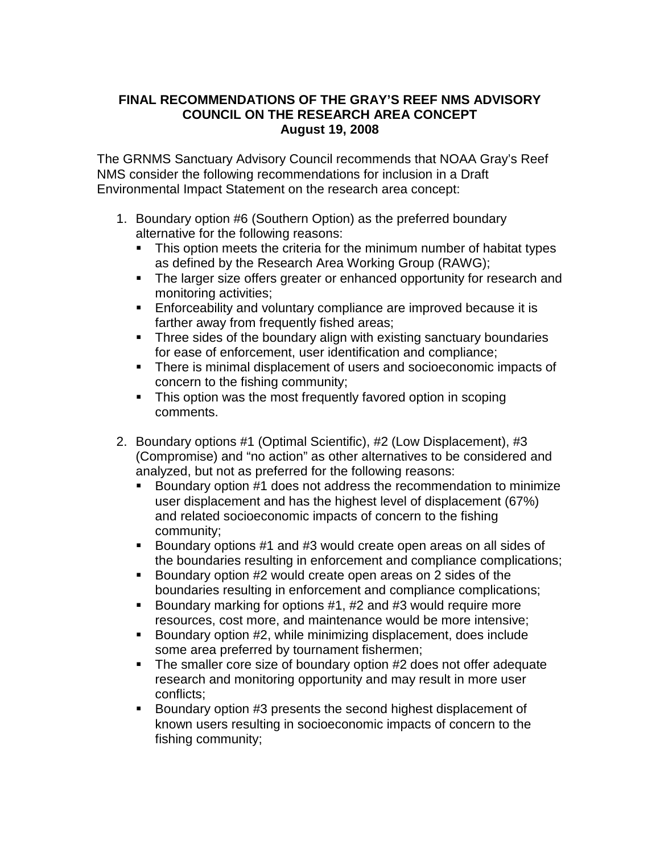## **FINAL RECOMMENDATIONS OF THE GRAY'S REEF NMS ADVISORY COUNCIL ON THE RESEARCH AREA CONCEPT August 19, 2008**

The GRNMS Sanctuary Advisory Council recommends that NOAA Gray's Reef NMS consider the following recommendations for inclusion in a Draft Environmental Impact Statement on the research area concept:

- 1. Boundary option #6 (Southern Option) as the preferred boundary alternative for the following reasons:
	- This option meets the criteria for the minimum number of habitat types as defined by the Research Area Working Group (RAWG);
	- The larger size offers greater or enhanced opportunity for research and monitoring activities;
	- **Enforceability and voluntary compliance are improved because it is** farther away from frequently fished areas;
	- Three sides of the boundary align with existing sanctuary boundaries for ease of enforcement, user identification and compliance;
	- There is minimal displacement of users and socioeconomic impacts of concern to the fishing community;
	- This option was the most frequently favored option in scoping comments.
- 2. Boundary options #1 (Optimal Scientific), #2 (Low Displacement), #3 (Compromise) and "no action" as other alternatives to be considered and analyzed, but not as preferred for the following reasons:
	- Boundary option #1 does not address the recommendation to minimize user displacement and has the highest level of displacement (67%) and related socioeconomic impacts of concern to the fishing community;
	- Boundary options #1 and #3 would create open areas on all sides of the boundaries resulting in enforcement and compliance complications;
	- Boundary option #2 would create open areas on 2 sides of the boundaries resulting in enforcement and compliance complications;
	- Boundary marking for options #1, #2 and #3 would require more resources, cost more, and maintenance would be more intensive;
	- Boundary option #2, while minimizing displacement, does include some area preferred by tournament fishermen;
	- The smaller core size of boundary option #2 does not offer adequate research and monitoring opportunity and may result in more user conflicts;
	- Boundary option #3 presents the second highest displacement of known users resulting in socioeconomic impacts of concern to the fishing community;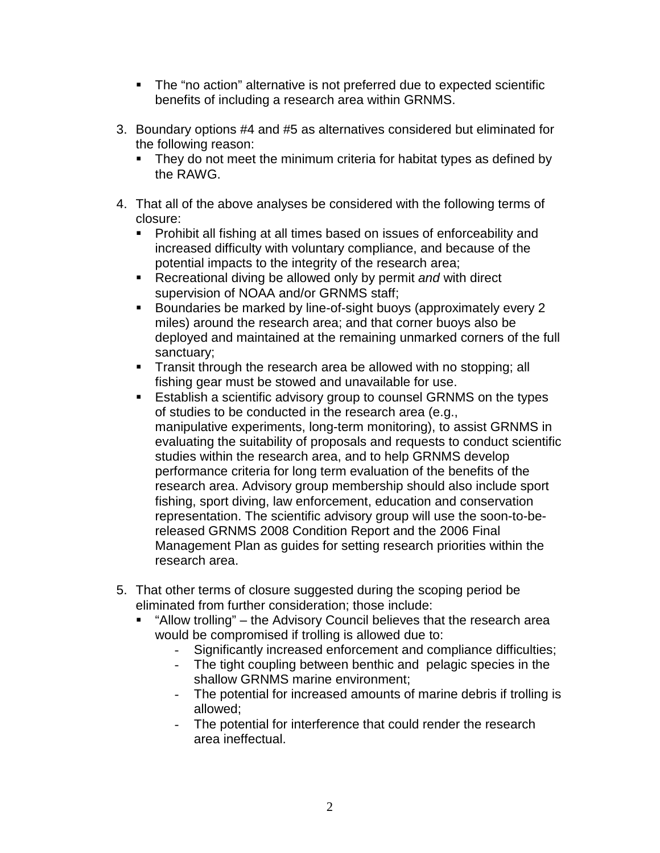- The "no action" alternative is not preferred due to expected scientific benefits of including a research area within GRNMS.
- 3. Boundary options #4 and #5 as alternatives considered but eliminated for the following reason:
	- **They do not meet the minimum criteria for habitat types as defined by** the RAWG.
- 4. That all of the above analyses be considered with the following terms of closure:
	- **Prohibit all fishing at all times based on issues of enforceability and** increased difficulty with voluntary compliance, and because of the potential impacts to the integrity of the research area;
	- Recreational diving be allowed only by permit *and* with direct supervision of NOAA and/or GRNMS staff;
	- **Boundaries be marked by line-of-sight buoys (approximately every 2** miles) around the research area; and that corner buoys also be deployed and maintained at the remaining unmarked corners of the full sanctuary;
	- **Transit through the research area be allowed with no stopping; all** fishing gear must be stowed and unavailable for use.
	- **Establish a scientific advisory group to counsel GRNMS on the types** of studies to be conducted in the research area (e.g., manipulative experiments, long-term monitoring), to assist GRNMS in evaluating the suitability of proposals and requests to conduct scientific studies within the research area, and to help GRNMS develop performance criteria for long term evaluation of the benefits of the research area. Advisory group membership should also include sport fishing, sport diving, law enforcement, education and conservation representation. The scientific advisory group will use the soon-to-bereleased GRNMS 2008 Condition Report and the 2006 Final Management Plan as guides for setting research priorities within the research area.
- 5. That other terms of closure suggested during the scoping period be eliminated from further consideration; those include:
	- "Allow trolling" the Advisory Council believes that the research area would be compromised if trolling is allowed due to:
		- Significantly increased enforcement and compliance difficulties;
		- The tight coupling between benthic and pelagic species in the shallow GRNMS marine environment;
		- The potential for increased amounts of marine debris if trolling is allowed;
		- The potential for interference that could render the research area ineffectual.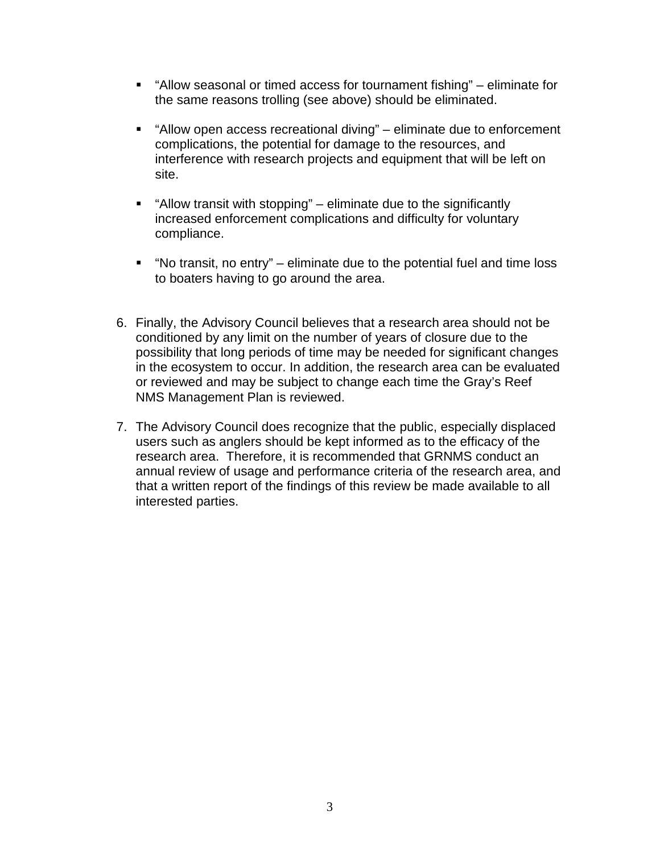- "Allow seasonal or timed access for tournament fishing" eliminate for the same reasons trolling (see above) should be eliminated.
- "Allow open access recreational diving" eliminate due to enforcement complications, the potential for damage to the resources, and interference with research projects and equipment that will be left on site.
- "Allow transit with stopping" eliminate due to the significantly increased enforcement complications and difficulty for voluntary compliance.
- "No transit, no entry" eliminate due to the potential fuel and time loss to boaters having to go around the area.
- 6. Finally, the Advisory Council believes that a research area should not be conditioned by any limit on the number of years of closure due to the possibility that long periods of time may be needed for significant changes in the ecosystem to occur. In addition, the research area can be evaluated or reviewed and may be subject to change each time the Gray's Reef NMS Management Plan is reviewed.
- 7. The Advisory Council does recognize that the public, especially displaced users such as anglers should be kept informed as to the efficacy of the research area. Therefore, it is recommended that GRNMS conduct an annual review of usage and performance criteria of the research area, and that a written report of the findings of this review be made available to all interested parties.